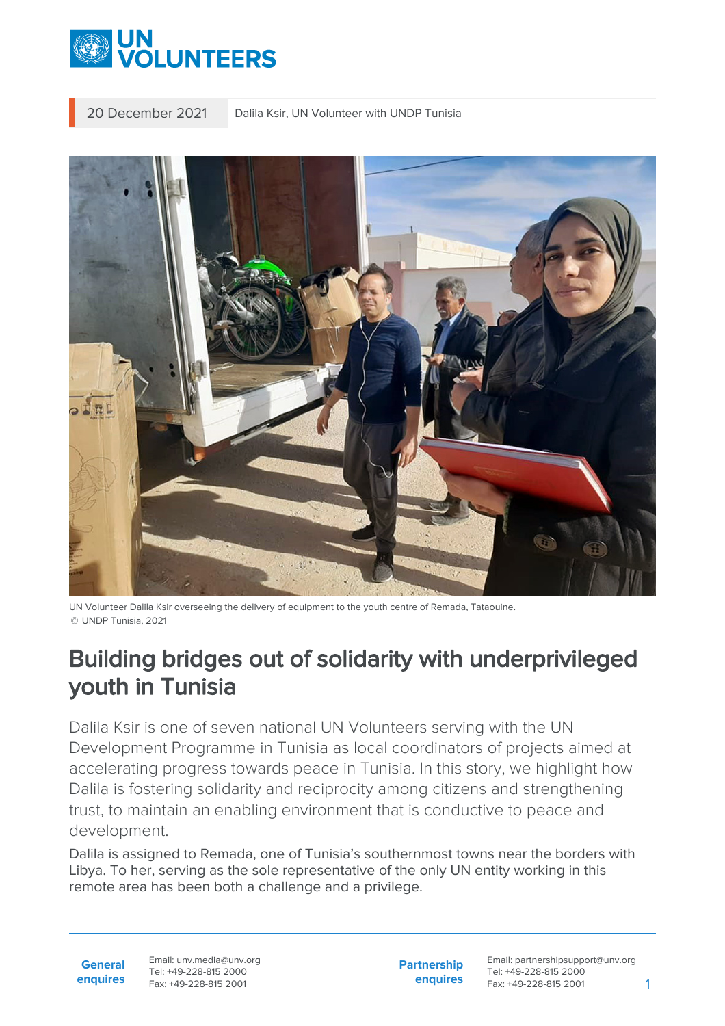

20 December 2021 | Dalila Ksir, UN Volunteer with UNDP Tunisia



UN Volunteer Dalila Ksir overseeing the delivery of equipment to the youth centre of Remada, Tataouine. © UNDP Tunisia, 2021

## Building bridges out of solidarity with underprivileged youth in Tunisia

Dalila Ksir is one of seven national UN Volunteers serving with the UN Development Programme in Tunisia as local coordinators of projects aimed at accelerating progress towards peace in Tunisia. In this story, we highlight how Dalila is fostering solidarity and reciprocity among citizens and strengthening trust, to maintain an enabling environment that is conductive to peace and development.

Dalila is assigned to Remada, one of Tunisia's southernmost towns near the borders with Libya. To her, serving as the sole representative of the only UN entity working in this remote area has been both a challenge and a privilege.

**General enquires** Email: unv.media@unv.org Tel: +49-228-815 2000 Fax: +49-228-815 2001

**Partnership enquires**

Email: partnershipsupport@unv.org Tel: +49-228-815 2000 Fax: +49-228-815 2001 1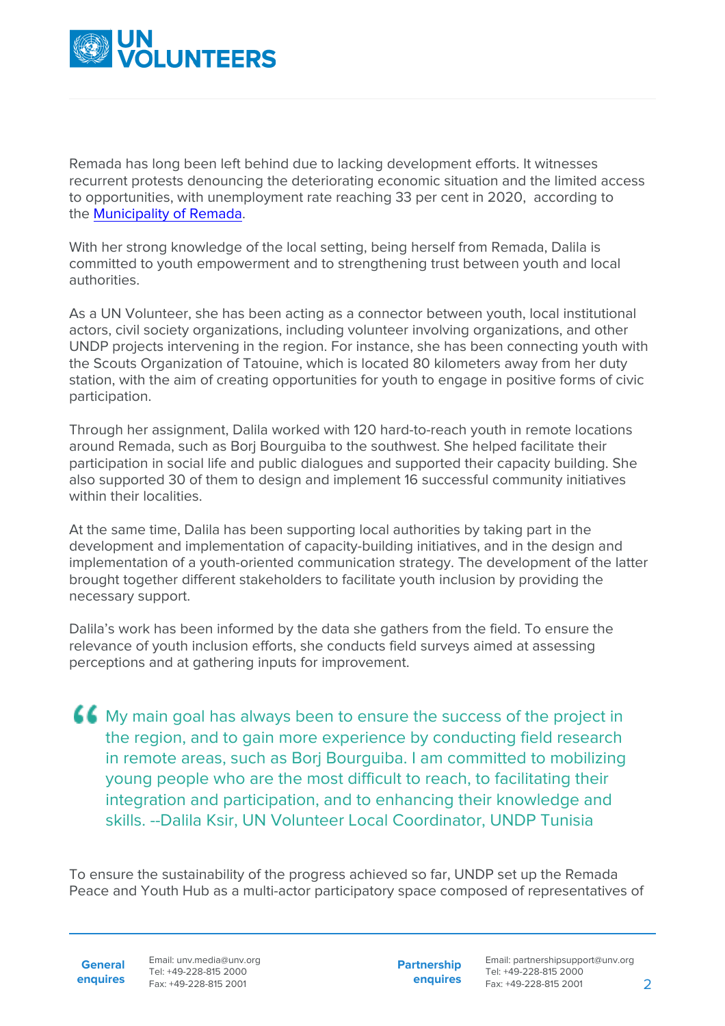

Remada has long been left behind due to lacking development efforts. It witnesses recurrent protests denouncing the deteriorating economic situation and the limited access to opportunities, with unemployment rate reaching 33 per cent in 2020, according to the [Municipality of Remada](http://remada.mylabs.tn/page_11.html).

With her strong knowledge of the local setting, being herself from Remada, Dalila is committed to youth empowerment and to strengthening trust between youth and local authorities.

As a UN Volunteer, she has been acting as a connector between youth, local institutional actors, civil society organizations, including volunteer involving organizations, and other UNDP projects intervening in the region. For instance, she has been connecting youth with the Scouts Organization of Tatouine, which is located 80 kilometers away from her duty station, with the aim of creating opportunities for youth to engage in positive forms of civic participation.

Through her assignment, Dalila worked with 120 hard-to-reach youth in remote locations around Remada, such as Borj Bourguiba to the southwest. She helped facilitate their participation in social life and public dialogues and supported their capacity building. She also supported 30 of them to design and implement 16 successful community initiatives within their localities.

At the same time, Dalila has been supporting local authorities by taking part in the development and implementation of capacity-building initiatives, and in the design and implementation of a youth-oriented communication strategy. The development of the latter brought together different stakeholders to facilitate youth inclusion by providing the necessary support.

Dalila's work has been informed by the data she gathers from the field. To ensure the relevance of youth inclusion efforts, she conducts field surveys aimed at assessing perceptions and at gathering inputs for improvement.

My main goal has always been to ensure the success of the project in the region, and to gain more experience by conducting field research in remote areas, such as Bori Bourguiba. I am committed to mobilizing young people who are the most difficult to reach, to facilitating their integration and participation, and to enhancing their knowledge and skills. --Dalila Ksir, UN Volunteer Local Coordinator, UNDP Tunisia

To ensure the sustainability of the progress achieved so far, UNDP set up the Remada Peace and Youth Hub as a multi-actor participatory space composed of representatives of

**General**

**enquires** Fax: +49-228-815 2001 Email: unv.media@unv.org Tel: +49-228-815 2000

**Partnership enquires**

Email: partnershipsupport@unv.org Tel: +49-228-815 2000 Fax: +49-228-815 2001 2